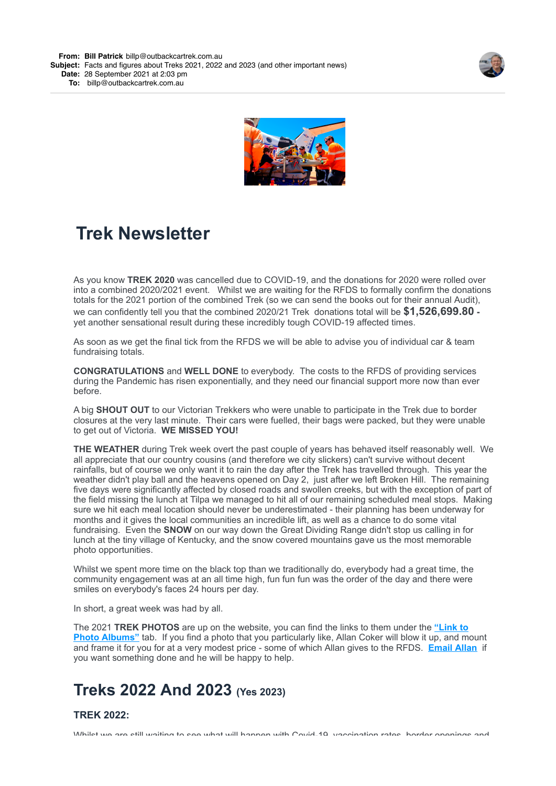**From: Bill [Patrick](mailto:Patrickbillp@outbackcartrek.com.au)** [billp@outbackcartrek.com.au](mailto:Patrickbillp@outbackcartrek.com.au)

**Subject:** Facts and figures about Treks 2021, 2022 and 2023 (and other important news) **Date:** 28 September 2021 at 2:03 pm

**To:** [billp@outbackcartrek.com.au](mailto:billp@outbackcartrek.com.au)





# **Trek Newsletter**

As you know **TREK 2020** was cancelled due to COVID-19, and the donations for 2020 were rolled over into a combined 2020/2021 event. Whilst we are waiting for the RFDS to formally confirm the donations totals for the 2021 portion of the combined Trek (so we can send the books out for their annual Audit), we can confidently tell you that the combined 2020/21 Trek donations total will be **\$1,526,699.80**  yet another sensational result during these incredibly tough COVID-19 affected times.

As soon as we get the final tick from the RFDS we will be able to advise you of individual car & team fundraising totals.

**CONGRATULATIONS** and **WELL DONE** to everybody. The costs to the RFDS of providing services during the Pandemic has risen exponentially, and they need our financial support more now than ever before.

A big **SHOUT OUT** to our Victorian Trekkers who were unable to participate in the Trek due to border closures at the very last minute. Their cars were fuelled, their bags were packed, but they were unable to get out of Victoria. **WE MISSED YOU!**

**THE WEATHER** during Trek week overt the past couple of years has behaved itself reasonably well. We all appreciate that our country cousins (and therefore we city slickers) can't survive without decent rainfalls, but of course we only want it to rain the day after the Trek has travelled through. This year the weather didn't play ball and the heavens opened on Day 2, just after we left Broken Hill. The remaining five days were significantly affected by closed roads and swollen creeks, but with the exception of part of the field missing the lunch at Tilpa we managed to hit all of our remaining scheduled meal stops. Making sure we hit each meal location should never be underestimated - their planning has been underway for months and it gives the local communities an incredible lift, as well as a chance to do some vital fundraising. Even the **SNOW** on our way down the Great Dividing Range didn't stop us calling in for lunch at the tiny village of Kentucky, and the snow covered mountains gave us the most memorable photo opportunities.

Whilst we spent more time on the black top than we traditionally do, everybody had a great time, the community engagement was at an all time high, fun fun fun was the order of the day and there were smiles on everybody's faces 24 hours per day.

In short, a great week was had by all.

The 2021 **TREK PHOTOS** are up on the website, you can find the links to them under the **"Link to Photo Albums"** [tab. If you find a photo that you particularly like, Allan Coker will blow it up, and m](https://4ljld.r.a.d.sendibm1.com/mk/cl/f/OmPpcvg4U_bFGOHQeApsfeLo7L94eFJDStx7giq7Xvlm2A0GU6fkIYnRLXL_LXqYJG4HBTnX_2DDIY4aKh_l2r8gtYYGiE6BF7J3Dv9HhlwqchOgw0CbNrLsW2j95yrPPUgxEiHaX4uVEPBMOJ324mmVhQWR4ZxywTXzC6H4hdiUfZ_XrM4MwITCpfIBc3Vzag)ount and frame it for you for at a very modest price - some of which Allan gives to the RFDS. **[Email Allan](mailto:allancokerphotography@gmail.com?subject=I)** if you want something done and he will be happy to help.

## **Treks 2022 And 2023 (Yes 2023)**

### **TREK 2022:**

Whilet we are still waiting to see what will hannen with Covid-10, vaccination rates, border openings and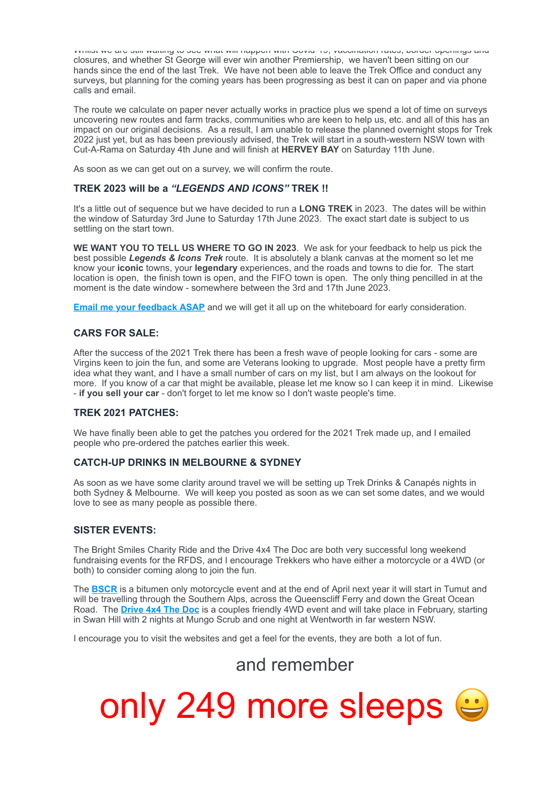Whilst we are still waiting to see what will happen with Covid-19, vaccination rates, border openings and closures, and whether St George will ever win another Premiership, we haven't been sitting on our hands since the end of the last Trek. We have not been able to leave the Trek Office and conduct any surveys, but planning for the coming years has been progressing as best it can on paper and via phone calls and email.

The route we calculate on paper never actually works in practice plus we spend a lot of time on surveys uncovering new routes and farm tracks, communities who are keen to help us, etc. and all of this has an impact on our original decisions. As a result, I am unable to release the planned overnight stops for Trek 2022 just yet, but as has been previously advised, the Trek will start in a south-western NSW town with Cut-A-Rama on Saturday 4th June and will finish at **HERVEY BAY** on Saturday 11th June.

As soon as we can get out on a survey, we will confirm the route.

#### **TREK 2023 will be a** *"LEGENDS AND ICONS"* **TREK !!**

It's a little out of sequence but we have decided to run a **LONG TREK** in 2023. The dates will be within the window of Saturday 3rd June to Saturday 17th June 2023. The exact start date is subject to us settling on the start town.

**WE WANT YOU TO TELL US WHERE TO GO IN 2023**. We ask for your feedback to help us pick the best possible *Legends & Icons Trek* route. It is absolutely a blank canvas at the moment so let me know your **iconic** towns, your **legendary** experiences, and the roads and towns to die for. The start location is open, the finish town is open, and the FIFO town is open. The only thing pencilled in at the moment is the date window - somewhere between the 3rd and 17th June 2023.

**[Email me your feedback ASAP](mailto:billp@outbackcartrek.com.au?subject=Legends%20%26%20Icons%20Trek%20Suggestions)** and we will get it all up on the whiteboard for early consideration.

#### **CARS FOR SALE:**

After the success of the 2021 Trek there has been a fresh wave of people looking for cars - some are Virgins keen to join the fun, and some are Veterans looking to upgrade. Most people have a pretty firm idea what they want, and I have a small number of cars on my list, but I am always on the lookout for more. If you know of a car that might be available, please let me know so I can keep it in mind. Likewise - **if you sell your car** - don't forget to let me know so I don't waste people's time.

#### **TREK 2021 PATCHES:**

We have finally been able to get the patches you ordered for the 2021 Trek made up, and I emailed people who pre-ordered the patches earlier this week.

#### **CATCH-UP DRINKS IN MELBOURNE & SYDNEY**

As soon as we have some clarity around travel we will be setting up Trek Drinks & Canapés nights in both Sydney & Melbourne. We will keep you posted as soon as we can set some dates, and we would love to see as many people as possible there.

#### **SISTER EVENTS:**

The Bright Smiles Charity Ride and the Drive 4x4 The Doc are both very successful long weekend fundraising events for the RFDS, and I encourage Trekkers who have either a motorcycle or a 4WD (or both) to consider coming along to join the fun.

The **[BSCR](https://4ljld.r.a.d.sendibm1.com/mk/cl/f/DghA-7joJdkl_ktMRaCFwa1yp43Hv7Y8-devH4UAcUdAwNDVXPWLgJmMhACCXWPilzZsmi6pd-nGvJ5gawkexVYM5QhKXHfp7mGla8--vMXa7AMQN2UVYTjQY_U7yXLVfm3B9MKLXwozEU_tXmyJNKzZPBTaZ0-jMSZ-wubY6OuVd2qdxTFTLOl0)** is a bitumen only motorcycle event and at the end of April next year it will start in Tumut and will be travelling through the Southern Alps, across the Queenscliff Ferry and down the Great Ocean Road. The **[Drive 4x4 The Doc](https://4ljld.r.a.d.sendibm1.com/mk/cl/f/gRrbp_cNLT5iFfuLkSaMvQSgff2XU4wRgx3Zp3uOUoVnHIoBpfD1GUfKwloukBoeSkB9gU-8dK9bza3vk9F_GCQ5VHHmdp7_RIiiJE9FtA0y3kU4hDXzjifG8uVOmpsXi4aat7P3kJKqoWCNhnD04Ew5FAlFZ3CIxH91FzJrQ4Th)** is a couples friendly 4WD event and will take place in February, starting in Swan Hill with 2 nights at Mungo Scrub and one night at Wentworth in far western NSW.

I encourage you to visit the websites and get a feel for the events, they are both a lot of fun.

### and remember

only 249 more sleeps  $\approx$